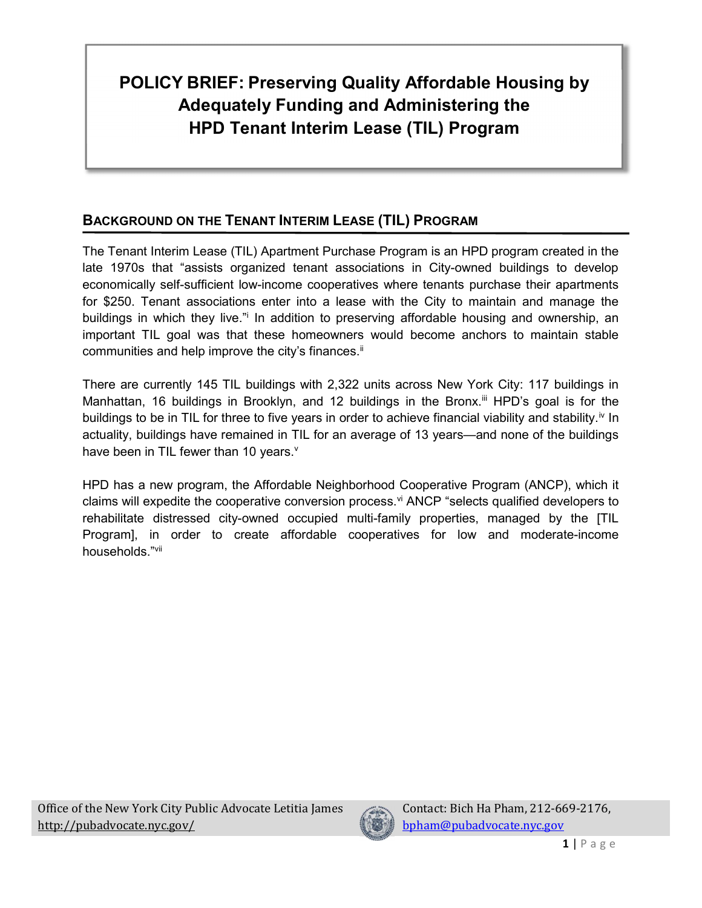#### BACKGROUND ON THE TENANT INTERIM LEASE (TIL) PROGRAM

The Tenant Interim Lease (TIL) Apartment Purchase Program is an HPD program created in the late 1970s that "assists organized tenant associations in City-owned buildings to develop economically self-sufficient low-income cooperatives where tenants purchase their apartments for \$250. Tenant associations enter into a lease with the City to maintain and manage the buildings in which they live." In addition to preserving affordable housing and ownership, an important TIL goal was that these homeowners would become anchors to maintain stable communities and help improve the city's finances.<sup>ii</sup>

There are currently 145 TIL buildings with 2,322 units across New York City: 117 buildings in Manhattan, 16 buildings in Brooklyn, and 12 buildings in the Bronx.<sup>iii</sup> HPD's goal is for the buildings to be in TIL for three to five years in order to achieve financial viability and stability.<sup>iv</sup> In actuality, buildings have remained in TIL for an average of 13 years—and none of the buildings have been in TIL fewer than 10 years.<sup>v</sup>

HPD has a new program, the Affordable Neighborhood Cooperative Program (ANCP), which it claims will expedite the cooperative conversion process.<sup>vi</sup> ANCP "selects qualified developers to rehabilitate distressed city-owned occupied multi-family properties, managed by the [TIL Program], in order to create affordable cooperatives for low and moderate-income households."vii

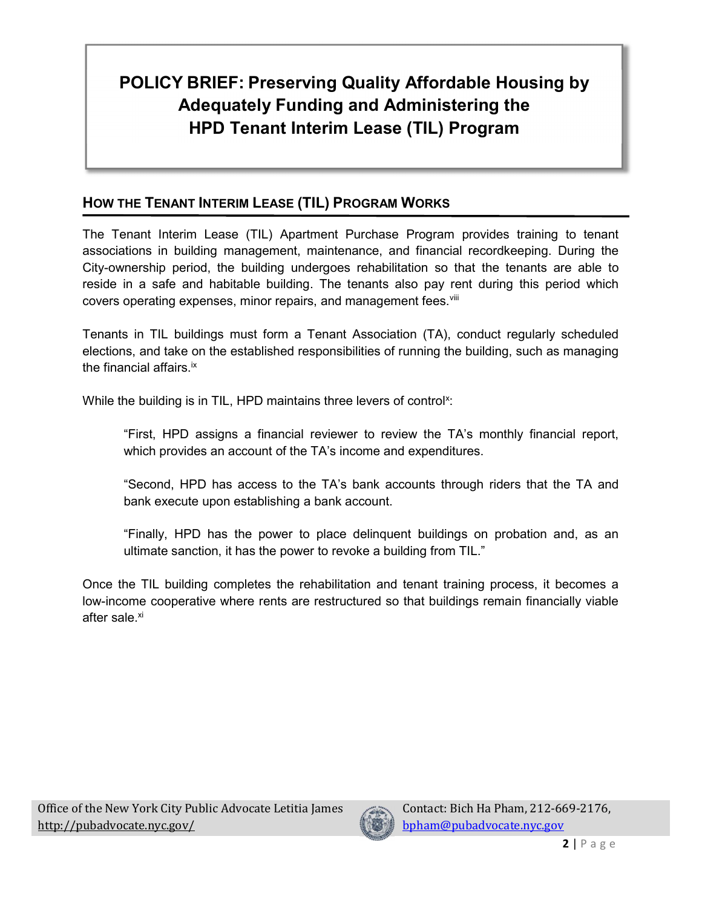#### HOW THE TENANT INTERIM LEASE (TIL) PROGRAM WORKS

The Tenant Interim Lease (TIL) Apartment Purchase Program provides training to tenant associations in building management, maintenance, and financial recordkeeping. During the City-ownership period, the building undergoes rehabilitation so that the tenants are able to reside in a safe and habitable building. The tenants also pay rent during this period which covers operating expenses, minor repairs, and management fees. Vili

Tenants in TIL buildings must form a Tenant Association (TA), conduct regularly scheduled elections, and take on the established responsibilities of running the building, such as managing the financial affairs.<sup>ix</sup>

While the building is in TIL, HPD maintains three levers of control<sup>x</sup>:

"First, HPD assigns a financial reviewer to review the TA's monthly financial report, which provides an account of the TA's income and expenditures.

"Second, HPD has access to the TA's bank accounts through riders that the TA and bank execute upon establishing a bank account.

"Finally, HPD has the power to place delinquent buildings on probation and, as an ultimate sanction, it has the power to revoke a building from TIL."

Once the TIL building completes the rehabilitation and tenant training process, it becomes a low-income cooperative where rents are restructured so that buildings remain financially viable after sale.<sup>xi</sup>

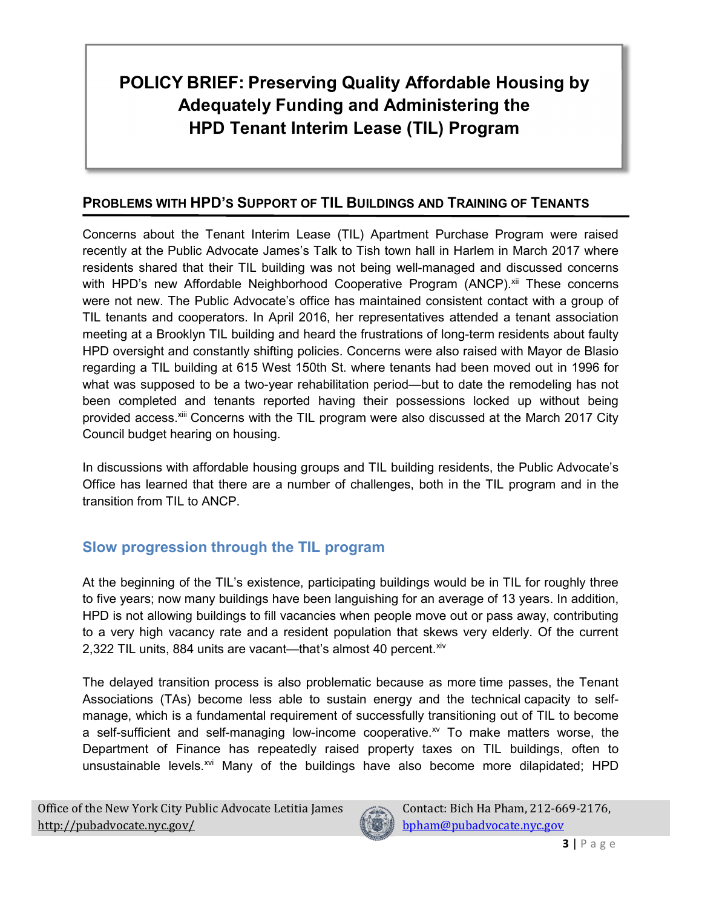#### PROBLEMS WITH HPD'S SUPPORT OF TIL BUILDINGS AND TRAINING OF TENANTS

Concerns about the Tenant Interim Lease (TIL) Apartment Purchase Program were raised recently at the Public Advocate James's Talk to Tish town hall in Harlem in March 2017 where residents shared that their TIL building was not being well-managed and discussed concerns with HPD's new Affordable Neighborhood Cooperative Program (ANCP).<sup>xii</sup> These concerns were not new. The Public Advocate's office has maintained consistent contact with a group of TIL tenants and cooperators. In April 2016, her representatives attended a tenant association meeting at a Brooklyn TIL building and heard the frustrations of long-term residents about faulty HPD oversight and constantly shifting policies. Concerns were also raised with Mayor de Blasio regarding a TIL building at 615 West 150th St. where tenants had been moved out in 1996 for what was supposed to be a two-year rehabilitation period—but to date the remodeling has not been completed and tenants reported having their possessions locked up without being provided access.<sup>xiii</sup> Concerns with the TIL program were also discussed at the March 2017 City Council budget hearing on housing.

In discussions with affordable housing groups and TIL building residents, the Public Advocate's Office has learned that there are a number of challenges, both in the TIL program and in the transition from TIL to ANCP.

#### Slow progression through the TIL program

At the beginning of the TIL's existence, participating buildings would be in TIL for roughly three to five years; now many buildings have been languishing for an average of 13 years. In addition, HPD is not allowing buildings to fill vacancies when people move out or pass away, contributing to a very high vacancy rate and a resident population that skews very elderly. Of the current 2,322 TIL units, 884 units are vacant—that's almost 40 percent. Xiv

The delayed transition process is also problematic because as more time passes, the Tenant Associations (TAs) become less able to sustain energy and the technical capacity to selfmanage, which is a fundamental requirement of successfully transitioning out of TIL to become a self-sufficient and self-managing low-income cooperative. $^{x}$  To make matters worse, the Department of Finance has repeatedly raised property taxes on TIL buildings, often to unsustainable levels.<sup>xvi</sup> Many of the buildings have also become more dilapidated; HPD

Office of the New York City Public Advocate Letitia James http://pubadvocate.nyc.gov/

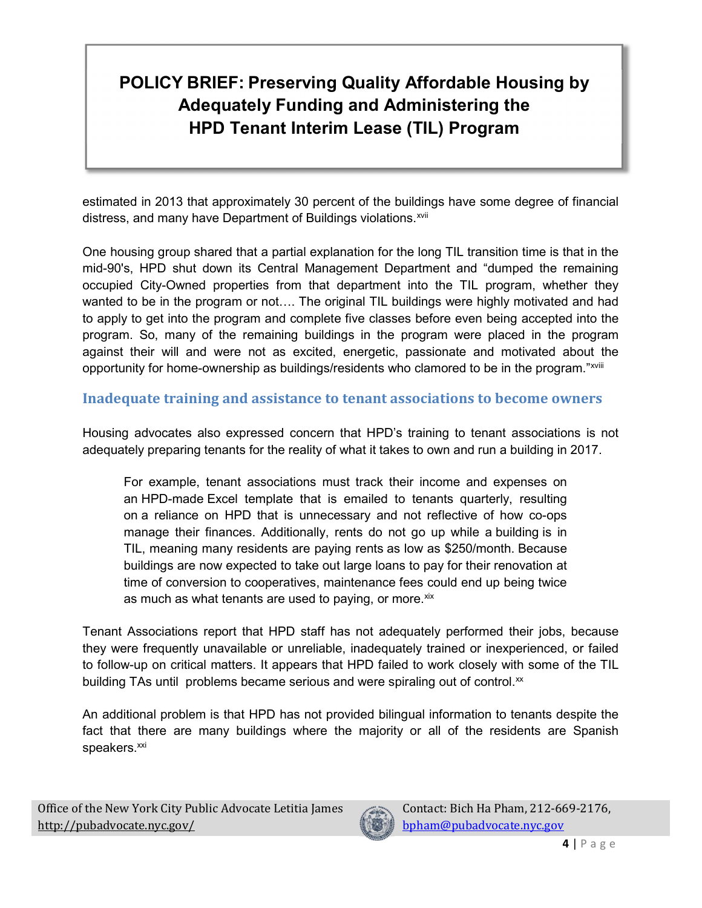estimated in 2013 that approximately 30 percent of the buildings have some degree of financial distress, and many have Department of Buildings violations.<sup>xvii</sup>

One housing group shared that a partial explanation for the long TIL transition time is that in the mid-90's, HPD shut down its Central Management Department and "dumped the remaining occupied City-Owned properties from that department into the TIL program, whether they wanted to be in the program or not.... The original TIL buildings were highly motivated and had to apply to get into the program and complete five classes before even being accepted into the program. So, many of the remaining buildings in the program were placed in the program against their will and were not as excited, energetic, passionate and motivated about the opportunity for home-ownership as buildings/residents who clamored to be in the program."<sup>xviii</sup>

#### Inadequate training and assistance to tenant associations to become owners

Housing advocates also expressed concern that HPD's training to tenant associations is not adequately preparing tenants for the reality of what it takes to own and run a building in 2017.

For example, tenant associations must track their income and expenses on an HPD-made Excel template that is emailed to tenants quarterly, resulting on a reliance on HPD that is unnecessary and not reflective of how co-ops manage their finances. Additionally, rents do not go up while a building is in TIL, meaning many residents are paying rents as low as \$250/month. Because buildings are now expected to take out large loans to pay for their renovation at time of conversion to cooperatives, maintenance fees could end up being twice as much as what tenants are used to paying, or more. ${}^{\text{xix}}$ 

Tenant Associations report that HPD staff has not adequately performed their jobs, because they were frequently unavailable or unreliable, inadequately trained or inexperienced, or failed to follow-up on critical matters. It appears that HPD failed to work closely with some of the TIL building TAs until problems became serious and were spiraling out of control. $\mathbf{x}$ 

An additional problem is that HPD has not provided bilingual information to tenants despite the fact that there are many buildings where the majority or all of the residents are Spanish speakers.<sup>xxi</sup>

Office of the New York City Public Advocate Letitia James http://pubadvocate.nyc.gov/

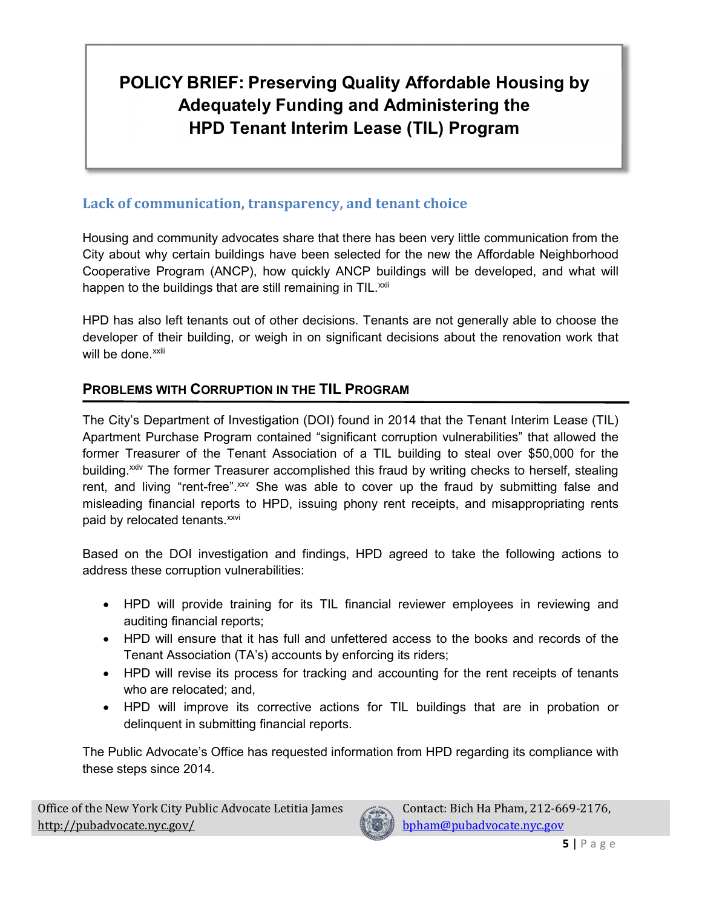#### Lack of communication, transparency, and tenant choice

Housing and community advocates share that there has been very little communication from the City about why certain buildings have been selected for the new the Affordable Neighborhood Cooperative Program (ANCP), how quickly ANCP buildings will be developed, and what will happen to the buildings that are still remaining in TIL. $^{xxii}$ 

HPD has also left tenants out of other decisions. Tenants are not generally able to choose the developer of their building, or weigh in on significant decisions about the renovation work that will be done.<sup>xxiii</sup>

#### PROBLEMS WITH CORRUPTION IN THE TIL PROGRAM

The City's Department of Investigation (DOI) found in 2014 that the Tenant Interim Lease (TIL) Apartment Purchase Program contained "significant corruption vulnerabilities" that allowed the former Treasurer of the Tenant Association of a TIL building to steal over \$50,000 for the building.<sup>xxiv</sup> The former Treasurer accomplished this fraud by writing checks to herself, stealing rent, and living "rent-free".<sup>xxv</sup> She was able to cover up the fraud by submitting false and misleading financial reports to HPD, issuing phony rent receipts, and misappropriating rents paid by relocated tenants.<sup>xxvi</sup>

Based on the DOI investigation and findings, HPD agreed to take the following actions to address these corruption vulnerabilities:

- HPD will provide training for its TIL financial reviewer employees in reviewing and auditing financial reports;
- HPD will ensure that it has full and unfettered access to the books and records of the Tenant Association (TA's) accounts by enforcing its riders;
- HPD will revise its process for tracking and accounting for the rent receipts of tenants who are relocated; and,
- HPD will improve its corrective actions for TIL buildings that are in probation or delinquent in submitting financial reports.

The Public Advocate's Office has requested information from HPD regarding its compliance with these steps since 2014.

Office of the New York City Public Advocate Letitia James http://pubadvocate.nyc.gov/

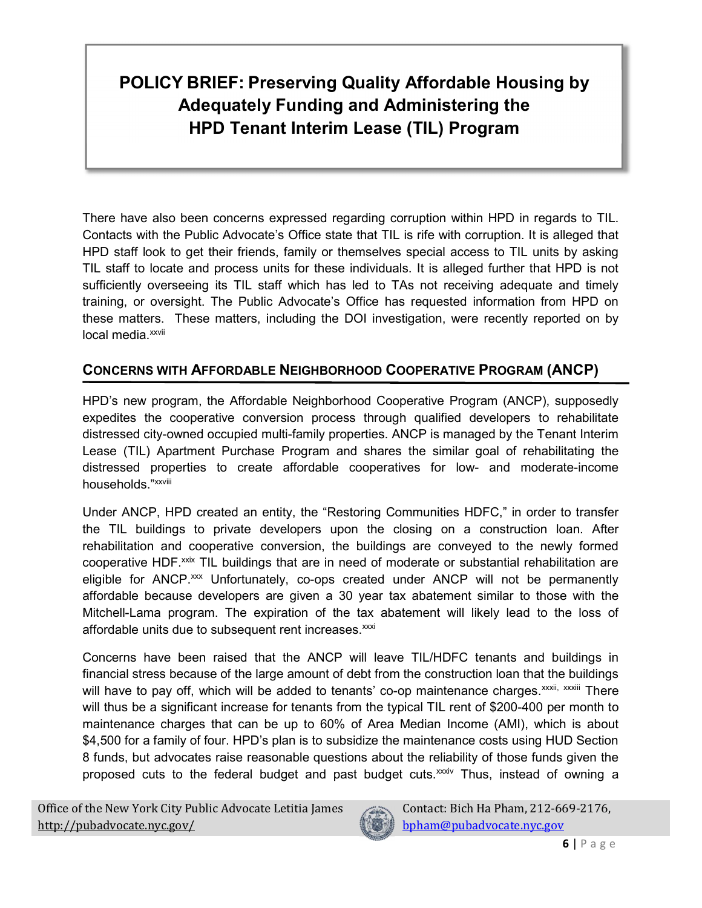There have also been concerns expressed regarding corruption within HPD in regards to TIL. Contacts with the Public Advocate's Office state that TIL is rife with corruption. It is alleged that HPD staff look to get their friends, family or themselves special access to TIL units by asking TIL staff to locate and process units for these individuals. It is alleged further that HPD is not sufficiently overseeing its TIL staff which has led to TAs not receiving adequate and timely training, or oversight. The Public Advocate's Office has requested information from HPD on these matters. These matters, including the DOI investigation, were recently reported on by local media.<sup>xxvii</sup>

#### CONCERNS WITH AFFORDABLE NEIGHBORHOOD COOPERATIVE PROGRAM (ANCP)

HPD's new program, the Affordable Neighborhood Cooperative Program (ANCP), supposedly expedites the cooperative conversion process through qualified developers to rehabilitate distressed city-owned occupied multi-family properties. ANCP is managed by the Tenant Interim Lease (TIL) Apartment Purchase Program and shares the similar goal of rehabilitating the distressed properties to create affordable cooperatives for low- and moderate-income households."xxviii

Under ANCP, HPD created an entity, the "Restoring Communities HDFC," in order to transfer the TIL buildings to private developers upon the closing on a construction loan. After rehabilitation and cooperative conversion, the buildings are conveyed to the newly formed cooperative HDF.<sup>xxix</sup> TIL buildings that are in need of moderate or substantial rehabilitation are eligible for ANCP.<sup>xxx</sup> Unfortunately, co-ops created under ANCP will not be permanently affordable because developers are given a 30 year tax abatement similar to those with the Mitchell-Lama program. The expiration of the tax abatement will likely lead to the loss of affordable units due to subsequent rent increases.<sup>xxxi</sup>

Concerns have been raised that the ANCP will leave TIL/HDFC tenants and buildings in financial stress because of the large amount of debt from the construction loan that the buildings will have to pay off, which will be added to tenants' co-op maintenance charges.<sup>xxxii, xxxiii</sup> There will thus be a significant increase for tenants from the typical TIL rent of \$200-400 per month to maintenance charges that can be up to 60% of Area Median Income (AMI), which is about \$4,500 for a family of four. HPD's plan is to subsidize the maintenance costs using HUD Section 8 funds, but advocates raise reasonable questions about the reliability of those funds given the proposed cuts to the federal budget and past budget cuts.<sup>xxxiv</sup> Thus, instead of owning a

Office of the New York City Public Advocate Letitia James http://pubadvocate.nyc.gov/

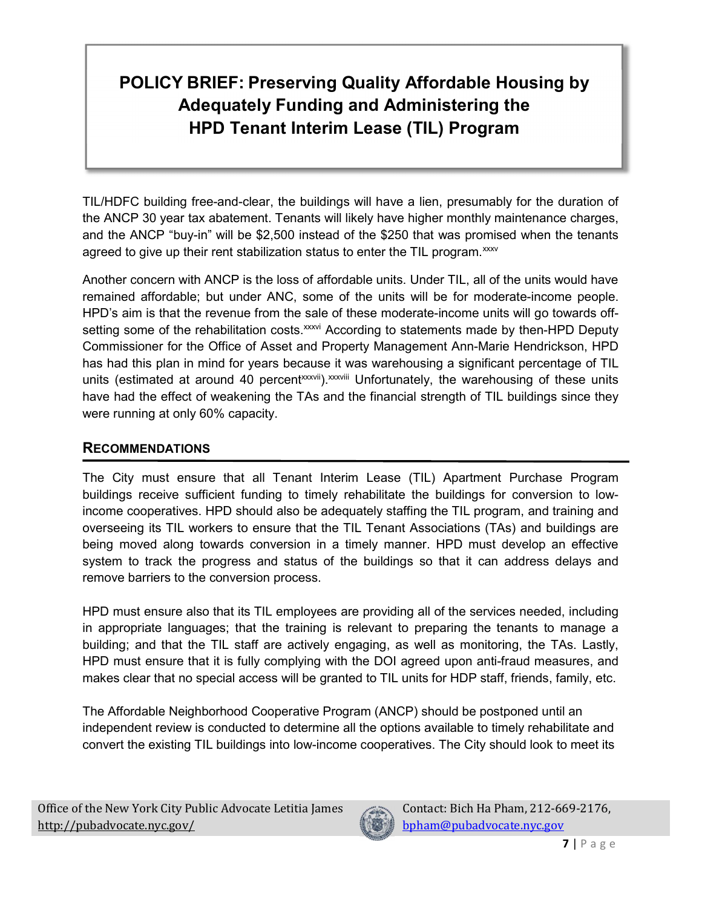TIL/HDFC building free-and-clear, the buildings will have a lien, presumably for the duration of the ANCP 30 year tax abatement. Tenants will likely have higher monthly maintenance charges, and the ANCP "buy-in" will be \$2,500 instead of the \$250 that was promised when the tenants agreed to give up their rent stabilization status to enter the TIL program.<sup>xxxv</sup>

Another concern with ANCP is the loss of affordable units. Under TIL, all of the units would have remained affordable; but under ANC, some of the units will be for moderate-income people. HPD's aim is that the revenue from the sale of these moderate-income units will go towards offsetting some of the rehabilitation costs.<sup>xxxvi</sup> According to statements made by then-HPD Deputy Commissioner for the Office of Asset and Property Management Ann-Marie Hendrickson, HPD has had this plan in mind for years because it was warehousing a significant percentage of TIL units (estimated at around 40 percent<sup>xxxvii</sup>).<sup>xxxviii</sup> Unfortunately, the warehousing of these units have had the effect of weakening the TAs and the financial strength of TIL buildings since they were running at only 60% capacity.

#### RECOMMENDATIONS

The City must ensure that all Tenant Interim Lease (TIL) Apartment Purchase Program buildings receive sufficient funding to timely rehabilitate the buildings for conversion to lowincome cooperatives. HPD should also be adequately staffing the TIL program, and training and overseeing its TIL workers to ensure that the TIL Tenant Associations (TAs) and buildings are being moved along towards conversion in a timely manner. HPD must develop an effective system to track the progress and status of the buildings so that it can address delays and remove barriers to the conversion process.

HPD must ensure also that its TIL employees are providing all of the services needed, including in appropriate languages; that the training is relevant to preparing the tenants to manage a building; and that the TIL staff are actively engaging, as well as monitoring, the TAs. Lastly, HPD must ensure that it is fully complying with the DOI agreed upon anti-fraud measures, and makes clear that no special access will be granted to TIL units for HDP staff, friends, family, etc.

The Affordable Neighborhood Cooperative Program (ANCP) should be postponed until an independent review is conducted to determine all the options available to timely rehabilitate and convert the existing TIL buildings into low-income cooperatives. The City should look to meet its

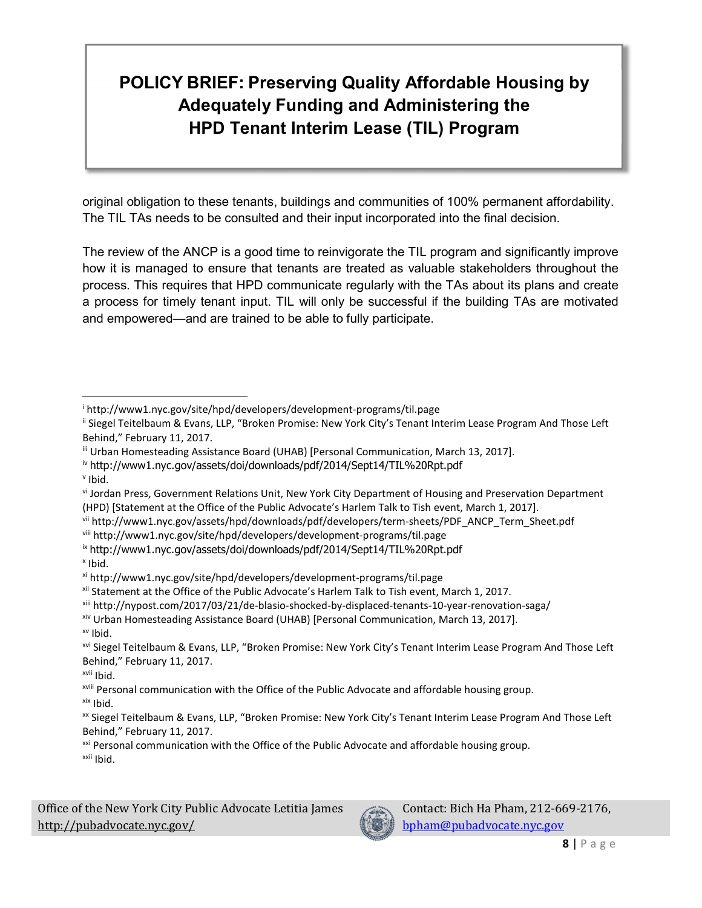original obligation to these tenants, buildings and communities of 100% permanent affordability. The TIL TAs needs to be consulted and their input incorporated into the final decision.

The review of the ANCP is a good time to reinvigorate the TIL program and significantly improve how it is managed to ensure that tenants are treated as valuable stakeholders throughout the process. This requires that HPD communicate regularly with the TAs about its plans and create a process for timely tenant input. TIL will only be successful if the building TAs are motivated and empowered—and are trained to be able to fully participate.

v Ibid.

x Ibid.

xv Ibid.

xvii Ibid.

Office of the New York City Public Advocate Letitia James http://pubadvocate.nyc.gov/



i http://www1.nyc.gov/site/hpd/developers/development-programs/til.page

ii Siegel Teitelbaum & Evans, LLP, "Broken Promise: New York City's Tenant Interim Lease Program And Those Left Behind," February 11, 2017.

iii Urban Homesteading Assistance Board (UHAB) [Personal Communication, March 13, 2017].

iv http://www1.nyc.gov/assets/doi/downloads/pdf/2014/Sept14/TIL%20Rpt.pdf

vi Jordan Press, Government Relations Unit, New York City Department of Housing and Preservation Department (HPD) [Statement at the Office of the Public Advocate's Harlem Talk to Tish event, March 1, 2017].

vii http://www1.nyc.gov/assets/hpd/downloads/pdf/developers/term-sheets/PDF\_ANCP\_Term\_Sheet.pdf

viii http://www1.nyc.gov/site/hpd/developers/development-programs/til.page

ix http://www1.nyc.gov/assets/doi/downloads/pdf/2014/Sept14/TIL%20Rpt.pdf

xi http://www1.nyc.gov/site/hpd/developers/development-programs/til.page

xii Statement at the Office of the Public Advocate's Harlem Talk to Tish event, March 1, 2017.

xiii http://nypost.com/2017/03/21/de-blasio-shocked-by-displaced-tenants-10-year-renovation-saga/

xiv Urban Homesteading Assistance Board (UHAB) [Personal Communication, March 13, 2017].

xvi Siegel Teitelbaum & Evans, LLP, "Broken Promise: New York City's Tenant Interim Lease Program And Those Left Behind," February 11, 2017.

xviii Personal communication with the Office of the Public Advocate and affordable housing group.

xix Ibid.

xx Siegel Teitelbaum & Evans, LLP, "Broken Promise: New York City's Tenant Interim Lease Program And Those Left Behind," February 11, 2017.

<sup>&</sup>lt;sup>xxi</sup> Personal communication with the Office of the Public Advocate and affordable housing group. xxii Ibid.